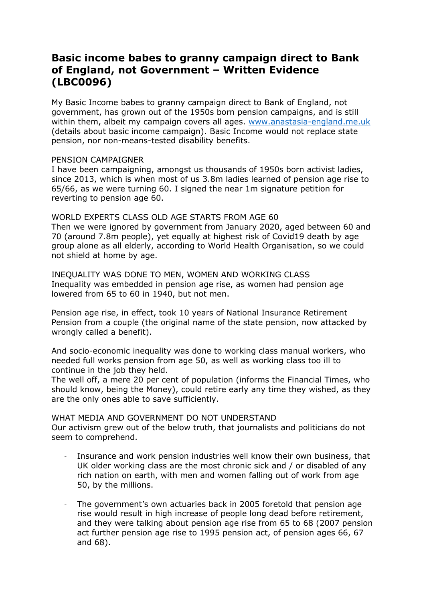# **Basic income babes to granny campaign direct to Bank of England, not Government – Written Evidence (LBC0096)**

My Basic Income babes to granny campaign direct to Bank of England, not government, has grown out of the 1950s born pension campaigns, and is still within them, albeit my campaign covers all ages. [www.anastasia-england.me.uk](http://www.anastasia-england.me.uk/) (details about basic income campaign). Basic Income would not replace state pension, nor non-means-tested disability benefits.

### PENSION CAMPAIGNER

I have been campaigning, amongst us thousands of 1950s born activist ladies, since 2013, which is when most of us 3.8m ladies learned of pension age rise to 65/66, as we were turning 60. I signed the near 1m signature petition for reverting to pension age 60.

WORLD EXPERTS CLASS OLD AGE STARTS FROM AGE 60 Then we were ignored by government from January 2020, aged between 60 and 70 (around 7.8m people), yet equally at highest risk of Covid19 death by age group alone as all elderly, according to World Health Organisation, so we could not shield at home by age.

INEQUALITY WAS DONE TO MEN, WOMEN AND WORKING CLASS Inequality was embedded in pension age rise, as women had pension age lowered from 65 to 60 in 1940, but not men.

Pension age rise, in effect, took 10 years of National Insurance Retirement Pension from a couple (the original name of the state pension, now attacked by wrongly called a benefit).

And socio-economic inequality was done to working class manual workers, who needed full works pension from age 50, as well as working class too ill to continue in the job they held.

The well off, a mere 20 per cent of population (informs the Financial Times, who should know, being the Money), could retire early any time they wished, as they are the only ones able to save sufficiently.

### WHAT MEDIA AND GOVERNMENT DO NOT UNDERSTAND

Our activism grew out of the below truth, that journalists and politicians do not seem to comprehend.

- Insurance and work pension industries well know their own business, that UK older working class are the most chronic sick and / or disabled of any rich nation on earth, with men and women falling out of work from age 50, by the millions.
- The government's own actuaries back in 2005 foretold that pension age rise would result in high increase of people long dead before retirement, and they were talking about pension age rise from 65 to 68 (2007 pension act further pension age rise to 1995 pension act, of pension ages 66, 67 and 68).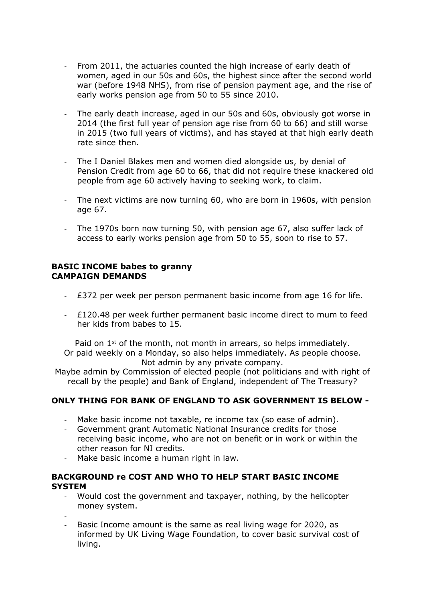- From 2011, the actuaries counted the high increase of early death of women, aged in our 50s and 60s, the highest since after the second world war (before 1948 NHS), from rise of pension payment age, and the rise of early works pension age from 50 to 55 since 2010.
- The early death increase, aged in our 50s and 60s, obviously got worse in 2014 (the first full year of pension age rise from 60 to 66) and still worse in 2015 (two full years of victims), and has stayed at that high early death rate since then.
- The I Daniel Blakes men and women died alongside us, by denial of Pension Credit from age 60 to 66, that did not require these knackered old people from age 60 actively having to seeking work, to claim.
- The next victims are now turning 60, who are born in 1960s, with pension age 67.
- The 1970s born now turning 50, with pension age 67, also suffer lack of access to early works pension age from 50 to 55, soon to rise to 57.

#### **BASIC INCOME babes to granny CAMPAIGN DEMANDS**

- £372 per week per person permanent basic income from age 16 for life.
- £120.48 per week further permanent basic income direct to mum to feed her kids from babes to 15.

Paid on  $1<sup>st</sup>$  of the month, not month in arrears, so helps immediately. Or paid weekly on a Monday, so also helps immediately. As people choose. Not admin by any private company.

Maybe admin by Commission of elected people (not politicians and with right of recall by the people) and Bank of England, independent of The Treasury?

# **ONLY THING FOR BANK OF ENGLAND TO ASK GOVERNMENT IS BELOW -**

- Make basic income not taxable, re income tax (so ease of admin).
- Government grant Automatic National Insurance credits for those receiving basic income, who are not on benefit or in work or within the other reason for NI credits.
- Make basic income a human right in law.

### **BACKGROUND re COST AND WHO TO HELP START BASIC INCOME SYSTEM**

- Would cost the government and taxpayer, nothing, by the helicopter money system.
- -
- Basic Income amount is the same as real living wage for 2020, as informed by UK Living Wage Foundation, to cover basic survival cost of living.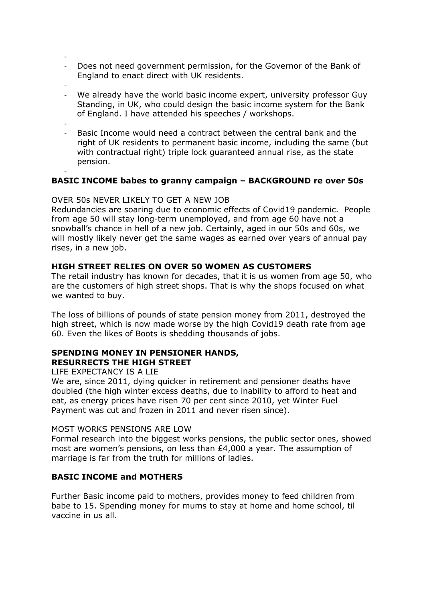- Does not need government permission, for the Governor of the Bank of England to enact direct with UK residents.
- -
- We already have the world basic income expert, university professor Guy Standing, in UK, who could design the basic income system for the Bank of England. I have attended his speeches / workshops.
- - Basic Income would need a contract between the central bank and the right of UK residents to permanent basic income, including the same (but with contractual right) triple lock guaranteed annual rise, as the state pension.

#### - **BASIC INCOME babes to granny campaign – BACKGROUND re over 50s**

### OVER 50s NEVER LIKELY TO GET A NEW JOB

Redundancies are soaring due to economic effects of Covid19 pandemic. People from age 50 will stay long-term unemployed, and from age 60 have not a snowball's chance in hell of a new job. Certainly, aged in our 50s and 60s, we will mostly likely never get the same wages as earned over years of annual pay rises, in a new job.

### **HIGH STREET RELIES ON OVER 50 WOMEN AS CUSTOMERS**

The retail industry has known for decades, that it is us women from age 50, who are the customers of high street shops. That is why the shops focused on what we wanted to buy.

The loss of billions of pounds of state pension money from 2011, destroyed the high street, which is now made worse by the high Covid19 death rate from age 60. Even the likes of Boots is shedding thousands of jobs.

### **SPENDING MONEY IN PENSIONER HANDS, RESURRECTS THE HIGH STREET**

### LIFE EXPECTANCY IS A LIE

We are, since 2011, dying quicker in retirement and pensioner deaths have doubled (the high winter excess deaths, due to inability to afford to heat and eat, as energy prices have risen 70 per cent since 2010, yet Winter Fuel Payment was cut and frozen in 2011 and never risen since).

### MOST WORKS PENSIONS ARE LOW

Formal research into the biggest works pensions, the public sector ones, showed most are women's pensions, on less than £4,000 a year. The assumption of marriage is far from the truth for millions of ladies.

# **BASIC INCOME and MOTHERS**

Further Basic income paid to mothers, provides money to feed children from babe to 15. Spending money for mums to stay at home and home school, til vaccine in us all.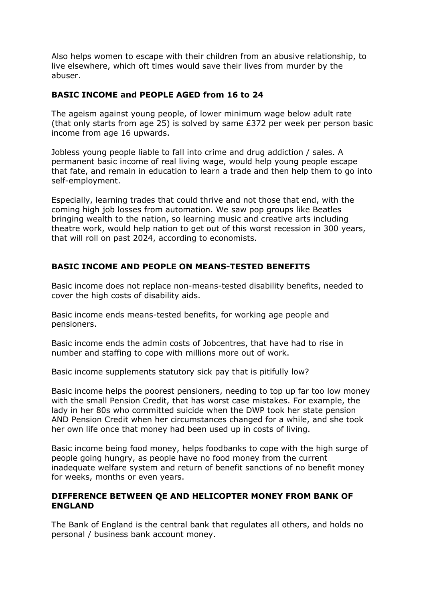Also helps women to escape with their children from an abusive relationship, to live elsewhere, which oft times would save their lives from murder by the abuser.

## **BASIC INCOME and PEOPLE AGED from 16 to 24**

The ageism against young people, of lower minimum wage below adult rate (that only starts from age 25) is solved by same £372 per week per person basic income from age 16 upwards.

Jobless young people liable to fall into crime and drug addiction / sales. A permanent basic income of real living wage, would help young people escape that fate, and remain in education to learn a trade and then help them to go into self-employment.

Especially, learning trades that could thrive and not those that end, with the coming high job losses from automation. We saw pop groups like Beatles bringing wealth to the nation, so learning music and creative arts including theatre work, would help nation to get out of this worst recession in 300 years, that will roll on past 2024, according to economists.

# **BASIC INCOME AND PEOPLE ON MEANS-TESTED BENEFITS**

Basic income does not replace non-means-tested disability benefits, needed to cover the high costs of disability aids.

Basic income ends means-tested benefits, for working age people and pensioners.

Basic income ends the admin costs of Jobcentres, that have had to rise in number and staffing to cope with millions more out of work.

Basic income supplements statutory sick pay that is pitifully low?

Basic income helps the poorest pensioners, needing to top up far too low money with the small Pension Credit, that has worst case mistakes. For example, the lady in her 80s who committed suicide when the DWP took her state pension AND Pension Credit when her circumstances changed for a while, and she took her own life once that money had been used up in costs of living.

Basic income being food money, helps foodbanks to cope with the high surge of people going hungry, as people have no food money from the current inadequate welfare system and return of benefit sanctions of no benefit money for weeks, months or even years.

### **DIFFERENCE BETWEEN QE AND HELICOPTER MONEY FROM BANK OF ENGLAND**

The Bank of England is the central bank that regulates all others, and holds no personal / business bank account money.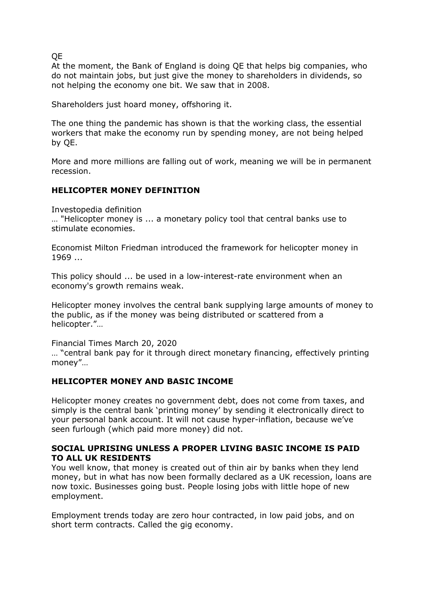QE

At the moment, the Bank of England is doing QE that helps big companies, who do not maintain jobs, but just give the money to shareholders in dividends, so not helping the economy one bit. We saw that in 2008.

Shareholders just hoard money, offshoring it.

The one thing the pandemic has shown is that the working class, the essential workers that make the economy run by spending money, are not being helped by QE.

More and more millions are falling out of work, meaning we will be in permanent recession.

# **HELICOPTER MONEY DEFINITION**

Investopedia definition

… "Helicopter money is ... a monetary policy tool that central banks use to stimulate economies.

Economist Milton Friedman introduced the framework for helicopter money in 1969 ...

This policy should ... be used in a low-interest-rate environment when an economy's growth remains weak.

Helicopter money involves the central bank supplying large amounts of money to the public, as if the money was being distributed or scattered from a helicopter."…

Financial Times March 20, 2020

… "central bank pay for it through direct monetary financing, effectively printing money"…

# **HELICOPTER MONEY AND BASIC INCOME**

Helicopter money creates no government debt, does not come from taxes, and simply is the central bank 'printing money' by sending it electronically direct to your personal bank account. It will not cause hyper-inflation, because we've seen furlough (which paid more money) did not.

### **SOCIAL UPRISING UNLESS A PROPER LIVING BASIC INCOME IS PAID TO ALL UK RESIDENTS**

You well know, that money is created out of thin air by banks when they lend money, but in what has now been formally declared as a UK recession, loans are now toxic. Businesses going bust. People losing jobs with little hope of new employment.

Employment trends today are zero hour contracted, in low paid jobs, and on short term contracts. Called the gig economy.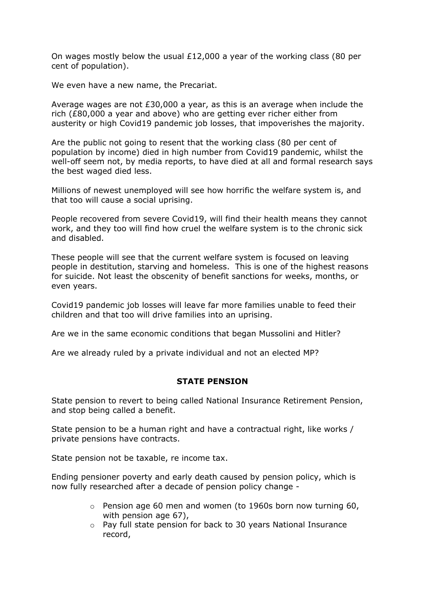On wages mostly below the usual £12,000 a year of the working class (80 per cent of population).

We even have a new name, the Precariat.

Average wages are not £30,000 a year, as this is an average when include the rich (£80,000 a year and above) who are getting ever richer either from austerity or high Covid19 pandemic job losses, that impoverishes the majority.

Are the public not going to resent that the working class (80 per cent of population by income) died in high number from Covid19 pandemic, whilst the well-off seem not, by media reports, to have died at all and formal research says the best waged died less.

Millions of newest unemployed will see how horrific the welfare system is, and that too will cause a social uprising.

People recovered from severe Covid19, will find their health means they cannot work, and they too will find how cruel the welfare system is to the chronic sick and disabled.

These people will see that the current welfare system is focused on leaving people in destitution, starving and homeless. This is one of the highest reasons for suicide. Not least the obscenity of benefit sanctions for weeks, months, or even years.

Covid19 pandemic job losses will leave far more families unable to feed their children and that too will drive families into an uprising.

Are we in the same economic conditions that began Mussolini and Hitler?

Are we already ruled by a private individual and not an elected MP?

### **STATE PENSION**

State pension to revert to being called National Insurance Retirement Pension, and stop being called a benefit.

State pension to be a human right and have a contractual right, like works / private pensions have contracts.

State pension not be taxable, re income tax.

Ending pensioner poverty and early death caused by pension policy, which is now fully researched after a decade of pension policy change -

- $\circ$  Pension age 60 men and women (to 1960s born now turning 60, with pension age 67),
- o Pay full state pension for back to 30 years National Insurance record,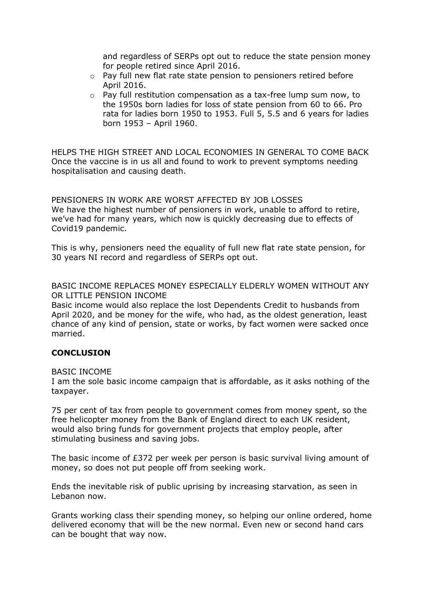and regardless of SERPs opt out to reduce the state pension money for people retired since April 2016.

- o Pay full new flat rate state pension to pensioners retired before April 2016.
- o Pay full restitution compensation as a tax-free lump sum now, to the 1950s born ladies for loss of state pension from 60 to 66. Pro rata for ladies born 1950 to 1953. Full 5, 5.5 and 6 years for ladies born 1953 – April 1960.

HELPS THE HIGH STREET AND LOCAL ECONOMIES IN GENERAL TO COME BACK Once the vaccine is in us all and found to work to prevent symptoms needing hospitalisation and causing death.

PENSIONERS IN WORK ARE WORST AFFECTED BY JOB LOSSES We have the highest number of pensioners in work, unable to afford to retire, we've had for many years, which now is quickly decreasing due to effects of Covid19 pandemic.

This is why, pensioners need the equality of full new flat rate state pension, for 30 years NI record and regardless of SERPs opt out.

BASIC INCOME REPLACES MONEY ESPECIALLY ELDERLY WOMEN WITHOUT ANY OR LITTLE PENSION INCOME

Basic income would also replace the lost Dependents Credit to husbands from April 2020, and be money for the wife, who had, as the oldest generation, least chance of any kind of pension, state or works, by fact women were sacked once married.

# **CONCLUSION**

### BASIC INCOME

I am the sole basic income campaign that is affordable, as it asks nothing of the taxpayer.

75 per cent of tax from people to government comes from money spent, so the free helicopter money from the Bank of England direct to each UK resident, would also bring funds for government projects that employ people, after stimulating business and saving jobs.

The basic income of £372 per week per person is basic survival living amount of money, so does not put people off from seeking work.

Ends the inevitable risk of public uprising by increasing starvation, as seen in Lebanon now.

Grants working class their spending money, so helping our online ordered, home delivered economy that will be the new normal. Even new or second hand cars can be bought that way now.